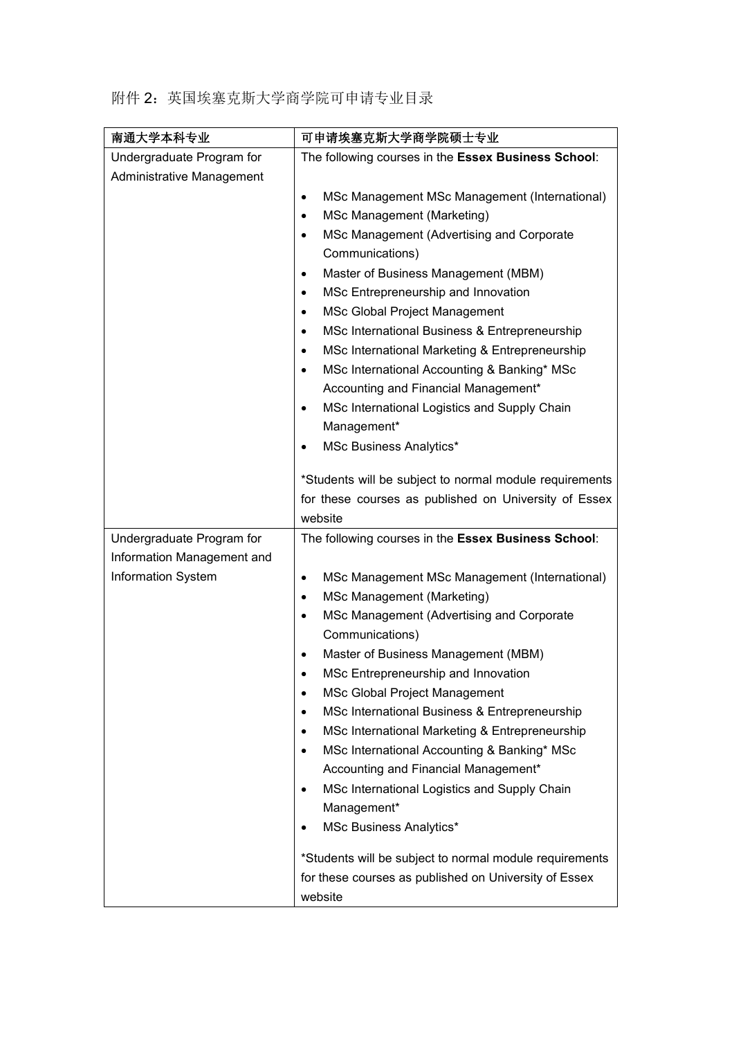|  | 附件 2: 英国埃塞克斯大学商学院可申请专业目录 |  |
|--|--------------------------|--|
|--|--------------------------|--|

| 南通大学本科专业                                               | 可申请埃塞克斯大学商学院硕士专业                                            |
|--------------------------------------------------------|-------------------------------------------------------------|
| Undergraduate Program for<br>Administrative Management | The following courses in the Essex Business School:         |
|                                                        | MSc Management MSc Management (International)<br>$\bullet$  |
|                                                        | MSc Management (Marketing)<br>$\bullet$                     |
|                                                        | MSc Management (Advertising and Corporate<br>$\bullet$      |
|                                                        | Communications)                                             |
|                                                        | Master of Business Management (MBM)<br>$\bullet$            |
|                                                        | MSc Entrepreneurship and Innovation<br>$\bullet$            |
|                                                        | MSc Global Project Management<br>$\bullet$                  |
|                                                        | MSc International Business & Entrepreneurship<br>$\bullet$  |
|                                                        | MSc International Marketing & Entrepreneurship<br>$\bullet$ |
|                                                        | MSc International Accounting & Banking* MSc<br>$\bullet$    |
|                                                        | Accounting and Financial Management*                        |
|                                                        | MSc International Logistics and Supply Chain<br>$\bullet$   |
|                                                        | Management*                                                 |
|                                                        | <b>MSc Business Analytics*</b><br>٠                         |
|                                                        | *Students will be subject to normal module requirements     |
|                                                        | for these courses as published on University of Essex       |
|                                                        | website                                                     |
| Undergraduate Program for                              | The following courses in the Essex Business School:         |
| Information Management and                             |                                                             |
| Information System                                     | MSc Management MSc Management (International)<br>$\bullet$  |
|                                                        | MSc Management (Marketing)<br>$\bullet$                     |
|                                                        | MSc Management (Advertising and Corporate<br>$\bullet$      |
|                                                        | Communications)                                             |
|                                                        | Master of Business Management (MBM)<br>$\bullet$            |
|                                                        | MSc Entrepreneurship and Innovation<br>٠                    |
|                                                        | MSc Global Project Management<br>$\bullet$                  |
|                                                        | MSc International Business & Entrepreneurship<br>$\bullet$  |
|                                                        | MSc International Marketing & Entrepreneurship<br>$\bullet$ |
|                                                        | MSc International Accounting & Banking* MSc<br>$\bullet$    |
|                                                        | Accounting and Financial Management*                        |
|                                                        | MSc International Logistics and Supply Chain<br>$\bullet$   |
|                                                        | Management*                                                 |
|                                                        | <b>MSc Business Analytics*</b>                              |
|                                                        | *Students will be subject to normal module requirements     |
|                                                        | for these courses as published on University of Essex       |
|                                                        | website                                                     |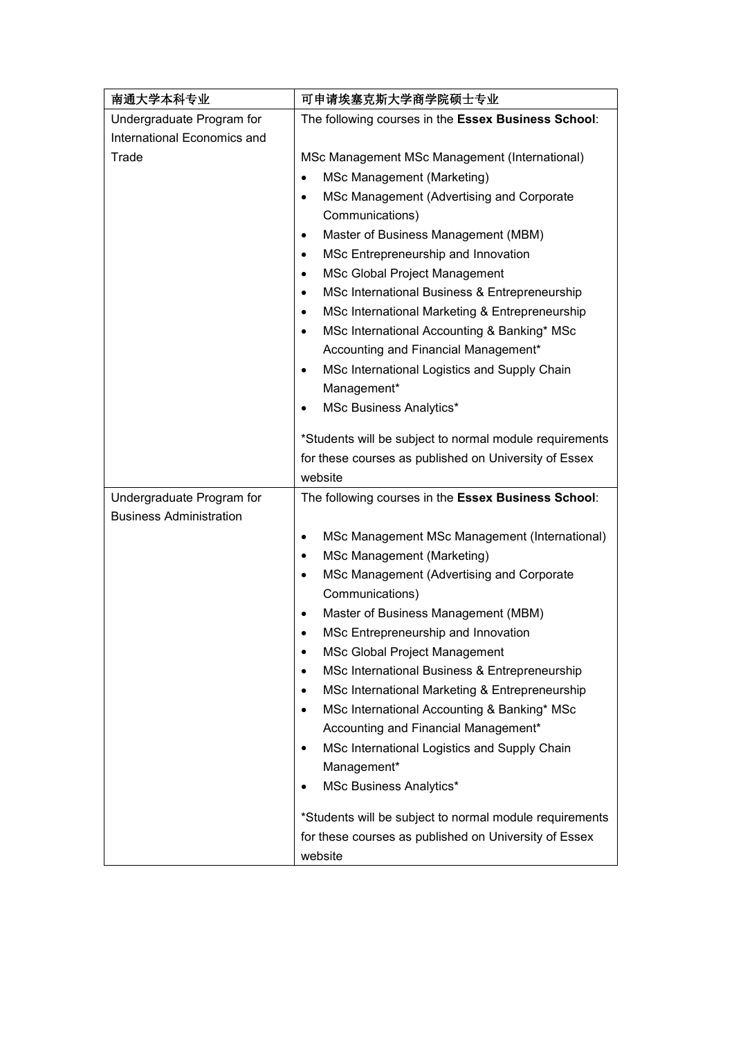| 南通大学本科专业                                                    | 可申请埃塞克斯大学商学院硕士专业                                            |
|-------------------------------------------------------------|-------------------------------------------------------------|
| Undergraduate Program for                                   | The following courses in the Essex Business School:         |
| International Economics and                                 |                                                             |
| Trade                                                       | MSc Management MSc Management (International)               |
|                                                             | MSc Management (Marketing)                                  |
|                                                             | MSc Management (Advertising and Corporate<br>$\bullet$      |
|                                                             | Communications)                                             |
|                                                             | Master of Business Management (MBM)<br>$\bullet$            |
|                                                             | MSc Entrepreneurship and Innovation<br>$\bullet$            |
|                                                             | <b>MSc Global Project Management</b><br>$\bullet$           |
|                                                             | MSc International Business & Entrepreneurship<br>$\bullet$  |
|                                                             | MSc International Marketing & Entrepreneurship<br>$\bullet$ |
|                                                             | MSc International Accounting & Banking* MSc<br>$\bullet$    |
|                                                             | Accounting and Financial Management*                        |
|                                                             | MSc International Logistics and Supply Chain                |
|                                                             | Management*                                                 |
|                                                             | MSc Business Analytics*<br>$\bullet$                        |
|                                                             | *Students will be subject to normal module requirements     |
|                                                             | for these courses as published on University of Essex       |
|                                                             | website                                                     |
| Undergraduate Program for<br><b>Business Administration</b> | The following courses in the Essex Business School:         |
|                                                             | MSc Management MSc Management (International)<br>$\bullet$  |
|                                                             | <b>MSc Management (Marketing)</b><br>$\bullet$              |
|                                                             | MSc Management (Advertising and Corporate<br>$\bullet$      |
|                                                             | Communications)                                             |
|                                                             | Master of Business Management (MBM)<br>$\bullet$            |
|                                                             | MSc Entrepreneurship and Innovation<br>$\bullet$            |
|                                                             | <b>MSc Global Project Management</b>                        |
|                                                             | MSc International Business & Entrepreneurship<br>٠          |
|                                                             | MSc International Marketing & Entrepreneurship<br>$\bullet$ |
|                                                             | MSc International Accounting & Banking* MSc<br>$\bullet$    |
|                                                             | Accounting and Financial Management*                        |
|                                                             | MSc International Logistics and Supply Chain<br>$\bullet$   |
|                                                             | Management*                                                 |
|                                                             | <b>MSc Business Analytics*</b><br>$\bullet$                 |
|                                                             | *Students will be subject to normal module requirements     |
|                                                             | for these courses as published on University of Essex       |
|                                                             | website                                                     |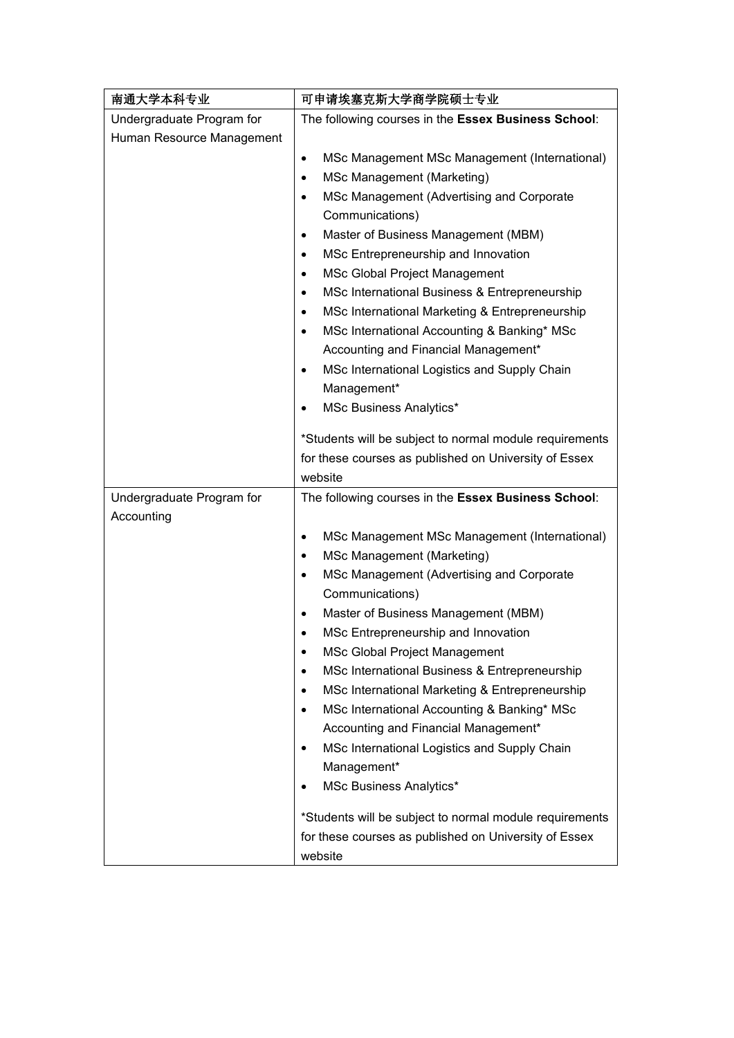| 南通大学本科专业                  | 可申请埃塞克斯大学商学院硕士专业                                            |  |
|---------------------------|-------------------------------------------------------------|--|
| Undergraduate Program for | The following courses in the Essex Business School:         |  |
| Human Resource Management |                                                             |  |
|                           | MSc Management MSc Management (International)<br>$\bullet$  |  |
|                           | MSc Management (Marketing)<br>$\bullet$                     |  |
|                           | MSc Management (Advertising and Corporate<br>$\bullet$      |  |
|                           | Communications)                                             |  |
|                           | Master of Business Management (MBM)<br>$\bullet$            |  |
|                           | MSc Entrepreneurship and Innovation<br>$\bullet$            |  |
|                           | <b>MSc Global Project Management</b><br>$\bullet$           |  |
|                           | MSc International Business & Entrepreneurship<br>$\bullet$  |  |
|                           | MSc International Marketing & Entrepreneurship<br>$\bullet$ |  |
|                           | MSc International Accounting & Banking* MSc<br>$\bullet$    |  |
|                           | Accounting and Financial Management*                        |  |
|                           | MSc International Logistics and Supply Chain                |  |
|                           | Management*                                                 |  |
|                           | <b>MSc Business Analytics*</b><br>$\bullet$                 |  |
|                           | *Students will be subject to normal module requirements     |  |
|                           | for these courses as published on University of Essex       |  |
|                           | website                                                     |  |
| Undergraduate Program for | The following courses in the Essex Business School:         |  |
| Accounting                |                                                             |  |
|                           | MSc Management MSc Management (International)<br>$\bullet$  |  |
|                           | MSc Management (Marketing)<br>$\bullet$                     |  |
|                           | MSc Management (Advertising and Corporate<br>$\bullet$      |  |
|                           | Communications)                                             |  |
|                           | Master of Business Management (MBM)<br>$\bullet$            |  |
|                           | MSc Entrepreneurship and Innovation<br>$\bullet$            |  |
|                           | MSc Global Project Management                               |  |
|                           | MSc International Business & Entrepreneurship<br>$\bullet$  |  |
|                           | MSc International Marketing & Entrepreneurship<br>$\bullet$ |  |
|                           | MSc International Accounting & Banking* MSc<br>$\bullet$    |  |
|                           | Accounting and Financial Management*                        |  |
|                           | MSc International Logistics and Supply Chain<br>٠           |  |
|                           | Management*<br>MSc Business Analytics*                      |  |
|                           | ٠                                                           |  |
|                           | *Students will be subject to normal module requirements     |  |
|                           | for these courses as published on University of Essex       |  |
|                           | website                                                     |  |